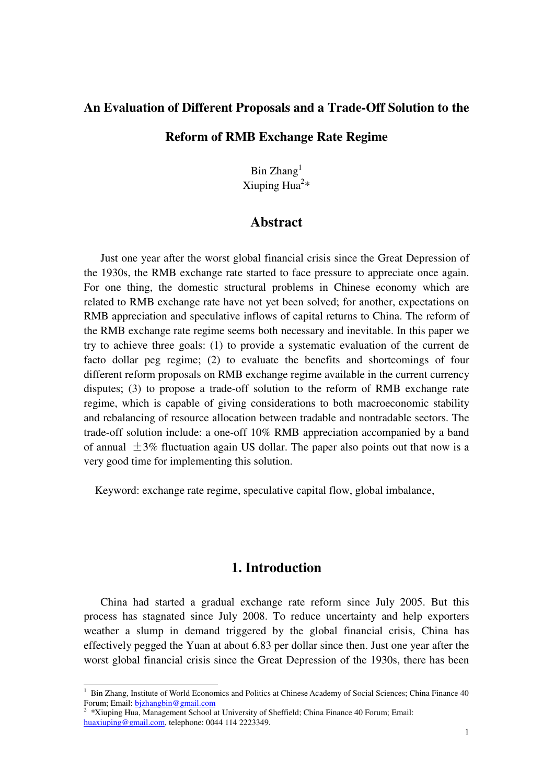### **An Evaluation of Different Proposals and a Trade-Off Solution to the**

### **Reform of RMB Exchange Rate Regime**

Bin  $Zhang<sup>1</sup>$ Xiuping Hua<sup>2\*</sup>

### **Abstract**

Just one year after the worst global financial crisis since the Great Depression of the 1930s, the RMB exchange rate started to face pressure to appreciate once again. For one thing, the domestic structural problems in Chinese economy which are related to RMB exchange rate have not yet been solved; for another, expectations on RMB appreciation and speculative inflows of capital returns to China. The reform of the RMB exchange rate regime seems both necessary and inevitable. In this paper we try to achieve three goals: (1) to provide a systematic evaluation of the current de facto dollar peg regime; (2) to evaluate the benefits and shortcomings of four different reform proposals on RMB exchange regime available in the current currency disputes; (3) to propose a trade-off solution to the reform of RMB exchange rate regime, which is capable of giving considerations to both macroeconomic stability and rebalancing of resource allocation between tradable and nontradable sectors. The trade-off solution include: a one-off 10% RMB appreciation accompanied by a band of annual  $\pm 3\%$  fluctuation again US dollar. The paper also points out that now is a very good time for implementing this solution.

Keyword: exchange rate regime, speculative capital flow, global imbalance,

# **1. Introduction**

China had started a gradual exchange rate reform since July 2005. But this process has stagnated since July 2008. To reduce uncertainty and help exporters weather a slump in demand triggered by the global financial crisis, China has effectively pegged the Yuan at about 6.83 per dollar since then. Just one year after the worst global financial crisis since the Great Depression of the 1930s, there has been

<sup>&</sup>lt;sup>1</sup> Bin Zhang, Institute of World Economics and Politics at Chinese Academy of Social Sciences; China Finance 40 Forum; Email: bjzhangbin@gmail.com

<sup>2</sup> \*Xiuping Hua, Management School at University of Sheffield; China Finance 40 Forum; Email: huaxiuping@gmail.com, telephone: 0044 114 2223349.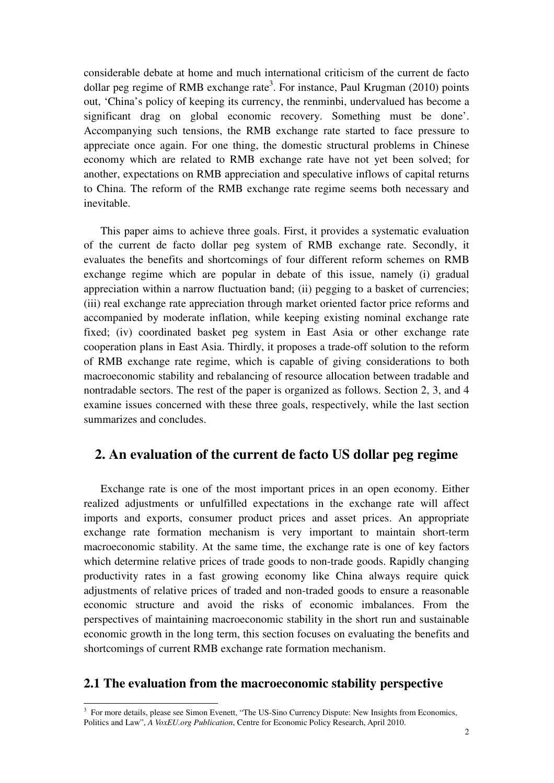considerable debate at home and much international criticism of the current de facto dollar peg regime of RMB exchange rate<sup>3</sup>. For instance, Paul Krugman  $(2010)$  points out, 'China's policy of keeping its currency, the renminbi, undervalued has become a significant drag on global economic recovery. Something must be done'. Accompanying such tensions, the RMB exchange rate started to face pressure to appreciate once again. For one thing, the domestic structural problems in Chinese economy which are related to RMB exchange rate have not yet been solved; for another, expectations on RMB appreciation and speculative inflows of capital returns to China. The reform of the RMB exchange rate regime seems both necessary and inevitable.

This paper aims to achieve three goals. First, it provides a systematic evaluation of the current de facto dollar peg system of RMB exchange rate. Secondly, it evaluates the benefits and shortcomings of four different reform schemes on RMB exchange regime which are popular in debate of this issue, namely (i) gradual appreciation within a narrow fluctuation band; (ii) pegging to a basket of currencies; (iii) real exchange rate appreciation through market oriented factor price reforms and accompanied by moderate inflation, while keeping existing nominal exchange rate fixed; (iv) coordinated basket peg system in East Asia or other exchange rate cooperation plans in East Asia. Thirdly, it proposes a trade-off solution to the reform of RMB exchange rate regime, which is capable of giving considerations to both macroeconomic stability and rebalancing of resource allocation between tradable and nontradable sectors. The rest of the paper is organized as follows. Section 2, 3, and 4 examine issues concerned with these three goals, respectively, while the last section summarizes and concludes.

# **2. An evaluation of the current de facto US dollar peg regime**

Exchange rate is one of the most important prices in an open economy. Either realized adjustments or unfulfilled expectations in the exchange rate will affect imports and exports, consumer product prices and asset prices. An appropriate exchange rate formation mechanism is very important to maintain short-term macroeconomic stability. At the same time, the exchange rate is one of key factors which determine relative prices of trade goods to non-trade goods. Rapidly changing productivity rates in a fast growing economy like China always require quick adjustments of relative prices of traded and non-traded goods to ensure a reasonable economic structure and avoid the risks of economic imbalances. From the perspectives of maintaining macroeconomic stability in the short run and sustainable economic growth in the long term, this section focuses on evaluating the benefits and shortcomings of current RMB exchange rate formation mechanism.

## **2.1 The evaluation from the macroeconomic stability perspective**

 $\ddot{ }$ 

<sup>&</sup>lt;sup>3</sup> For more details, please see Simon Evenett, "The US-Sino Currency Dispute: New Insights from Economics, Politics and Law", *A VoxEU.org Publication*, Centre for Economic Policy Research, April 2010.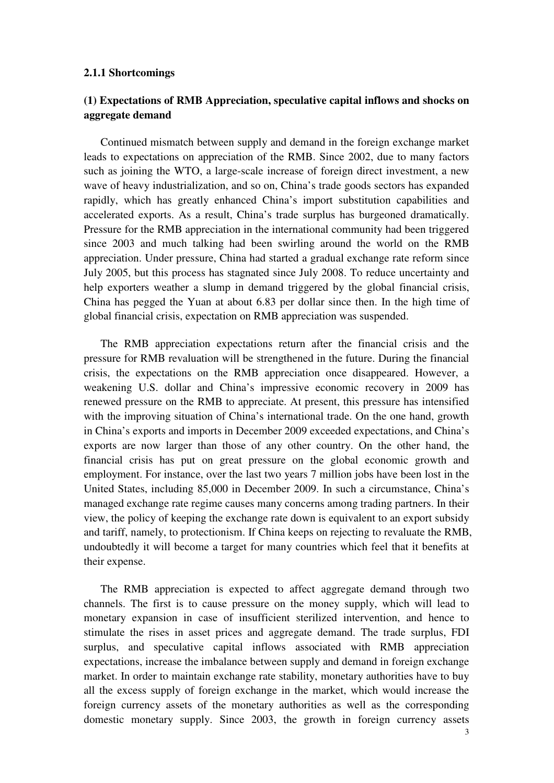#### **2.1.1 Shortcomings**

## **(1) Expectations of RMB Appreciation, speculative capital inflows and shocks on aggregate demand**

Continued mismatch between supply and demand in the foreign exchange market leads to expectations on appreciation of the RMB. Since 2002, due to many factors such as joining the WTO, a large-scale increase of foreign direct investment, a new wave of heavy industrialization, and so on, China's trade goods sectors has expanded rapidly, which has greatly enhanced China's import substitution capabilities and accelerated exports. As a result, China's trade surplus has burgeoned dramatically. Pressure for the RMB appreciation in the international community had been triggered since 2003 and much talking had been swirling around the world on the RMB appreciation. Under pressure, China had started a gradual exchange rate reform since July 2005, but this process has stagnated since July 2008. To reduce uncertainty and help exporters weather a slump in demand triggered by the global financial crisis, China has pegged the Yuan at about 6.83 per dollar since then. In the high time of global financial crisis, expectation on RMB appreciation was suspended.

The RMB appreciation expectations return after the financial crisis and the pressure for RMB revaluation will be strengthened in the future. During the financial crisis, the expectations on the RMB appreciation once disappeared. However, a weakening U.S. dollar and China's impressive economic recovery in 2009 has renewed pressure on the RMB to appreciate. At present, this pressure has intensified with the improving situation of China's international trade. On the one hand, growth in China's exports and imports in December 2009 exceeded expectations, and China's exports are now larger than those of any other country. On the other hand, the financial crisis has put on great pressure on the global economic growth and employment. For instance, over the last two years 7 million jobs have been lost in the United States, including 85,000 in December 2009. In such a circumstance, China's managed exchange rate regime causes many concerns among trading partners. In their view, the policy of keeping the exchange rate down is equivalent to an export subsidy and tariff, namely, to protectionism. If China keeps on rejecting to revaluate the RMB, undoubtedly it will become a target for many countries which feel that it benefits at their expense.

The RMB appreciation is expected to affect aggregate demand through two channels. The first is to cause pressure on the money supply, which will lead to monetary expansion in case of insufficient sterilized intervention, and hence to stimulate the rises in asset prices and aggregate demand. The trade surplus, FDI surplus, and speculative capital inflows associated with RMB appreciation expectations, increase the imbalance between supply and demand in foreign exchange market. In order to maintain exchange rate stability, monetary authorities have to buy all the excess supply of foreign exchange in the market, which would increase the foreign currency assets of the monetary authorities as well as the corresponding domestic monetary supply. Since 2003, the growth in foreign currency assets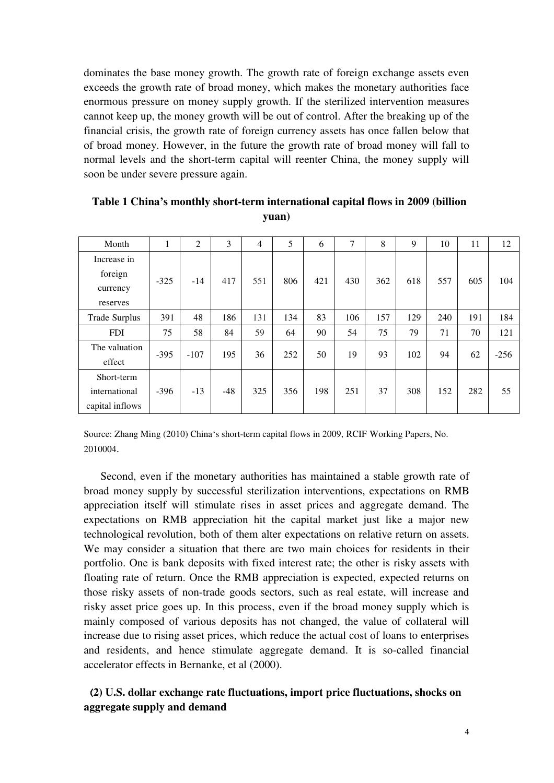dominates the base money growth. The growth rate of foreign exchange assets even exceeds the growth rate of broad money, which makes the monetary authorities face enormous pressure on money supply growth. If the sterilized intervention measures cannot keep up, the money growth will be out of control. After the breaking up of the financial crisis, the growth rate of foreign currency assets has once fallen below that of broad money. However, in the future the growth rate of broad money will fall to normal levels and the short-term capital will reenter China, the money supply will soon be under severe pressure again.

| Month                | $\mathbf{1}$ | 2      | 3     | 4   | 5   | 6   | 7   | 8   | 9   | 10  | 11  | 12     |
|----------------------|--------------|--------|-------|-----|-----|-----|-----|-----|-----|-----|-----|--------|
| Increase in          |              |        |       |     |     |     |     |     |     |     |     |        |
| foreign              | $-325$       | $-14$  | 417   | 551 | 806 | 421 | 430 | 362 | 618 | 557 | 605 | 104    |
| currency             |              |        |       |     |     |     |     |     |     |     |     |        |
| reserves             |              |        |       |     |     |     |     |     |     |     |     |        |
| <b>Trade Surplus</b> | 391          | 48     | 186   | 131 | 134 | 83  | 106 | 157 | 129 | 240 | 191 | 184    |
| <b>FDI</b>           | 75           | 58     | 84    | 59  | 64  | 90  | 54  | 75  | 79  | 71  | 70  | 121    |
| The valuation        | $-395$       | $-107$ | 195   | 36  | 252 | 50  | 19  | 93  | 102 | 94  | 62  | $-256$ |
| effect               |              |        |       |     |     |     |     |     |     |     |     |        |
| Short-term           |              |        |       |     |     |     |     |     |     |     |     |        |
| international        | $-396$       | $-13$  | $-48$ | 325 | 356 | 198 | 251 | 37  | 308 | 152 | 282 | 55     |
| capital inflows      |              |        |       |     |     |     |     |     |     |     |     |        |

 **Table 1 China's monthly short-term international capital flows in 2009 (billion yuan)** 

Source: Zhang Ming (2010) China's short-term capital flows in 2009, RCIF Working Papers, No. 2010004.

Second, even if the monetary authorities has maintained a stable growth rate of broad money supply by successful sterilization interventions, expectations on RMB appreciation itself will stimulate rises in asset prices and aggregate demand. The expectations on RMB appreciation hit the capital market just like a major new technological revolution, both of them alter expectations on relative return on assets. We may consider a situation that there are two main choices for residents in their portfolio. One is bank deposits with fixed interest rate; the other is risky assets with floating rate of return. Once the RMB appreciation is expected, expected returns on those risky assets of non-trade goods sectors, such as real estate, will increase and risky asset price goes up. In this process, even if the broad money supply which is mainly composed of various deposits has not changed, the value of collateral will increase due to rising asset prices, which reduce the actual cost of loans to enterprises and residents, and hence stimulate aggregate demand. It is so-called financial accelerator effects in Bernanke, et al (2000).

## (**2) U.S. dollar exchange rate fluctuations, import price fluctuations, shocks on aggregate supply and demand**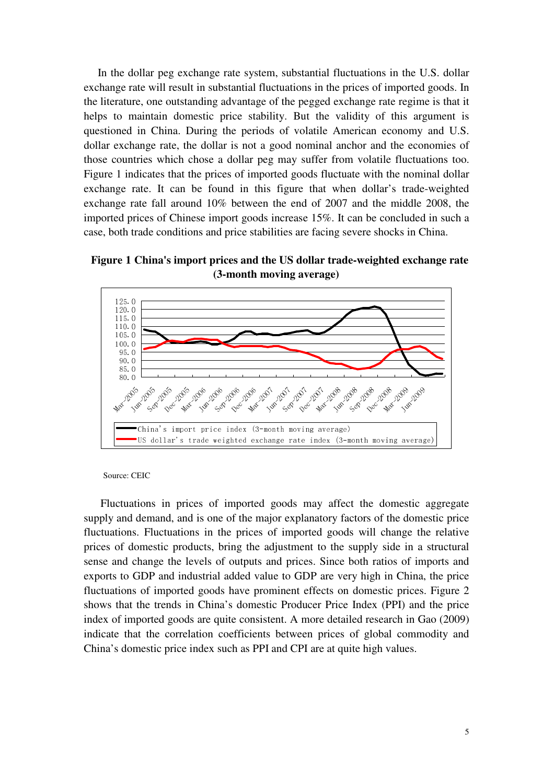In the dollar peg exchange rate system, substantial fluctuations in the U.S. dollar exchange rate will result in substantial fluctuations in the prices of imported goods. In the literature, one outstanding advantage of the pegged exchange rate regime is that it helps to maintain domestic price stability. But the validity of this argument is questioned in China. During the periods of volatile American economy and U.S. dollar exchange rate, the dollar is not a good nominal anchor and the economies of those countries which chose a dollar peg may suffer from volatile fluctuations too. Figure 1 indicates that the prices of imported goods fluctuate with the nominal dollar exchange rate. It can be found in this figure that when dollar's trade-weighted exchange rate fall around 10% between the end of 2007 and the middle 2008, the imported prices of Chinese import goods increase 15%. It can be concluded in such a case, both trade conditions and price stabilities are facing severe shocks in China.

 **Figure 1 China's import prices and the US dollar trade-weighted exchange rate (3-month moving average)**



Source: CEIC

Fluctuations in prices of imported goods may affect the domestic aggregate supply and demand, and is one of the major explanatory factors of the domestic price fluctuations. Fluctuations in the prices of imported goods will change the relative prices of domestic products, bring the adjustment to the supply side in a structural sense and change the levels of outputs and prices. Since both ratios of imports and exports to GDP and industrial added value to GDP are very high in China, the price fluctuations of imported goods have prominent effects on domestic prices. Figure 2 shows that the trends in China's domestic Producer Price Index (PPI) and the price index of imported goods are quite consistent. A more detailed research in Gao (2009) indicate that the correlation coefficients between prices of global commodity and China's domestic price index such as PPI and CPI are at quite high values.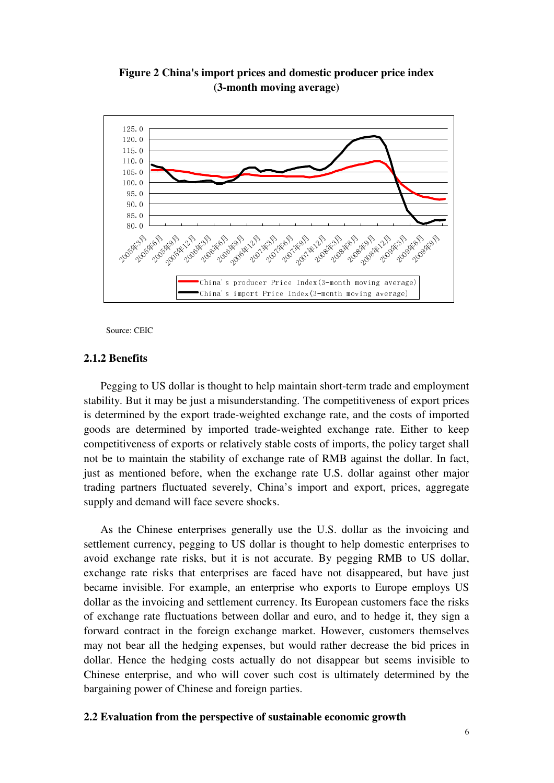**Figure 2 China's import prices and domestic producer price index (3-month moving average)** 



Source: CEIC

#### **2.1.2 Benefits**

Pegging to US dollar is thought to help maintain short-term trade and employment stability. But it may be just a misunderstanding. The competitiveness of export prices is determined by the export trade-weighted exchange rate, and the costs of imported goods are determined by imported trade-weighted exchange rate. Either to keep competitiveness of exports or relatively stable costs of imports, the policy target shall not be to maintain the stability of exchange rate of RMB against the dollar. In fact, just as mentioned before, when the exchange rate U.S. dollar against other major trading partners fluctuated severely, China's import and export, prices, aggregate supply and demand will face severe shocks.

As the Chinese enterprises generally use the U.S. dollar as the invoicing and settlement currency, pegging to US dollar is thought to help domestic enterprises to avoid exchange rate risks, but it is not accurate. By pegging RMB to US dollar, exchange rate risks that enterprises are faced have not disappeared, but have just became invisible. For example, an enterprise who exports to Europe employs US dollar as the invoicing and settlement currency. Its European customers face the risks of exchange rate fluctuations between dollar and euro, and to hedge it, they sign a forward contract in the foreign exchange market. However, customers themselves may not bear all the hedging expenses, but would rather decrease the bid prices in dollar. Hence the hedging costs actually do not disappear but seems invisible to Chinese enterprise, and who will cover such cost is ultimately determined by the bargaining power of Chinese and foreign parties.

### **2.2 Evaluation from the perspective of sustainable economic growth**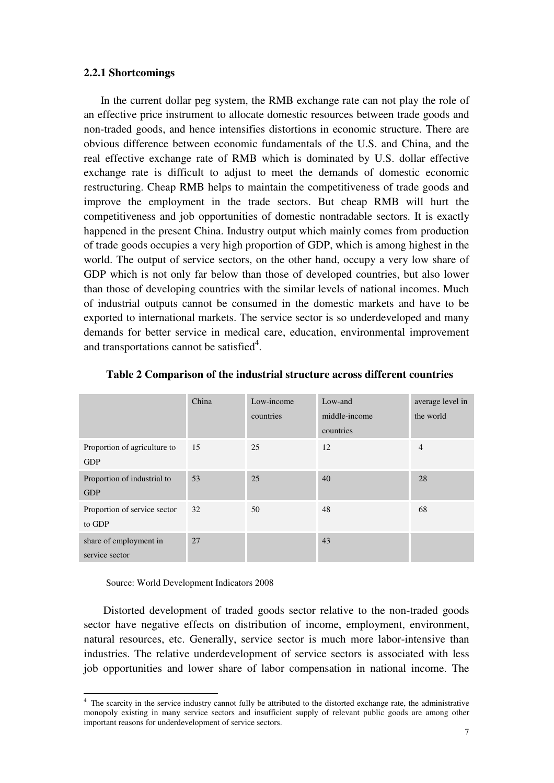#### **2.2.1 Shortcomings**

 In the current dollar peg system, the RMB exchange rate can not play the role of an effective price instrument to allocate domestic resources between trade goods and non-traded goods, and hence intensifies distortions in economic structure. There are obvious difference between economic fundamentals of the U.S. and China, and the real effective exchange rate of RMB which is dominated by U.S. dollar effective exchange rate is difficult to adjust to meet the demands of domestic economic restructuring. Cheap RMB helps to maintain the competitiveness of trade goods and improve the employment in the trade sectors. But cheap RMB will hurt the competitiveness and job opportunities of domestic nontradable sectors. It is exactly happened in the present China. Industry output which mainly comes from production of trade goods occupies a very high proportion of GDP, which is among highest in the world. The output of service sectors, on the other hand, occupy a very low share of GDP which is not only far below than those of developed countries, but also lower than those of developing countries with the similar levels of national incomes. Much of industrial outputs cannot be consumed in the domestic markets and have to be exported to international markets. The service sector is so underdeveloped and many demands for better service in medical care, education, environmental improvement and transportations cannot be satisfied<sup>4</sup>.

|                                            | China | Low-income<br>countries | Low-and<br>middle-income<br>countries | average level in<br>the world |
|--------------------------------------------|-------|-------------------------|---------------------------------------|-------------------------------|
| Proportion of agriculture to<br><b>GDP</b> | 15    | 25                      | 12                                    | $\overline{4}$                |
| Proportion of industrial to<br><b>GDP</b>  | 53    | 25                      | 40                                    | 28                            |
| Proportion of service sector<br>to GDP     | 32    | 50                      | 48                                    | 68                            |
| share of employment in<br>service sector   | 27    |                         | 43                                    |                               |

Source: World Development Indicators 2008

Distorted development of traded goods sector relative to the non-traded goods sector have negative effects on distribution of income, employment, environment, natural resources, etc. Generally, service sector is much more labor-intensive than industries. The relative underdevelopment of service sectors is associated with less job opportunities and lower share of labor compensation in national income. The

 4 The scarcity in the service industry cannot fully be attributed to the distorted exchange rate, the administrative monopoly existing in many service sectors and insufficient supply of relevant public goods are among other important reasons for underdevelopment of service sectors.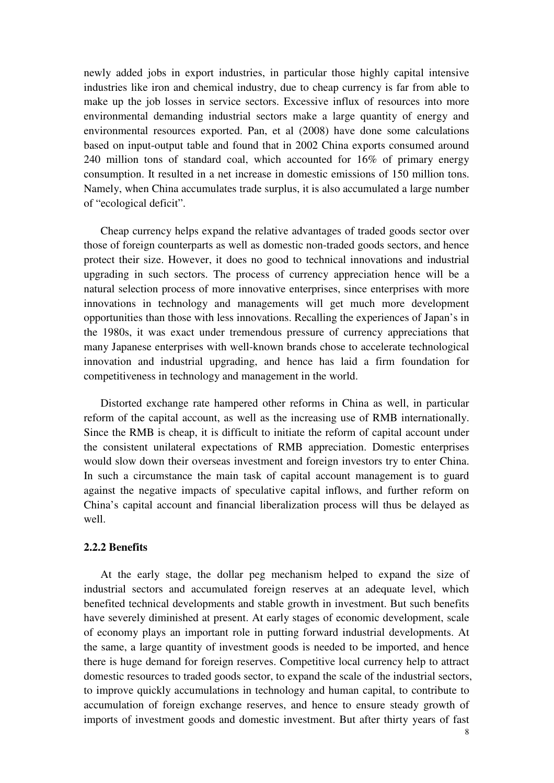newly added jobs in export industries, in particular those highly capital intensive industries like iron and chemical industry, due to cheap currency is far from able to make up the job losses in service sectors. Excessive influx of resources into more environmental demanding industrial sectors make a large quantity of energy and environmental resources exported. Pan, et al (2008) have done some calculations based on input-output table and found that in 2002 China exports consumed around 240 million tons of standard coal, which accounted for 16% of primary energy consumption. It resulted in a net increase in domestic emissions of 150 million tons. Namely, when China accumulates trade surplus, it is also accumulated a large number of "ecological deficit".

Cheap currency helps expand the relative advantages of traded goods sector over those of foreign counterparts as well as domestic non-traded goods sectors, and hence protect their size. However, it does no good to technical innovations and industrial upgrading in such sectors. The process of currency appreciation hence will be a natural selection process of more innovative enterprises, since enterprises with more innovations in technology and managements will get much more development opportunities than those with less innovations. Recalling the experiences of Japan's in the 1980s, it was exact under tremendous pressure of currency appreciations that many Japanese enterprises with well-known brands chose to accelerate technological innovation and industrial upgrading, and hence has laid a firm foundation for competitiveness in technology and management in the world.

Distorted exchange rate hampered other reforms in China as well, in particular reform of the capital account, as well as the increasing use of RMB internationally. Since the RMB is cheap, it is difficult to initiate the reform of capital account under the consistent unilateral expectations of RMB appreciation. Domestic enterprises would slow down their overseas investment and foreign investors try to enter China. In such a circumstance the main task of capital account management is to guard against the negative impacts of speculative capital inflows, and further reform on China's capital account and financial liberalization process will thus be delayed as well.

### **2.2.2 Benefits**

At the early stage, the dollar peg mechanism helped to expand the size of industrial sectors and accumulated foreign reserves at an adequate level, which benefited technical developments and stable growth in investment. But such benefits have severely diminished at present. At early stages of economic development, scale of economy plays an important role in putting forward industrial developments. At the same, a large quantity of investment goods is needed to be imported, and hence there is huge demand for foreign reserves. Competitive local currency help to attract domestic resources to traded goods sector, to expand the scale of the industrial sectors, to improve quickly accumulations in technology and human capital, to contribute to accumulation of foreign exchange reserves, and hence to ensure steady growth of imports of investment goods and domestic investment. But after thirty years of fast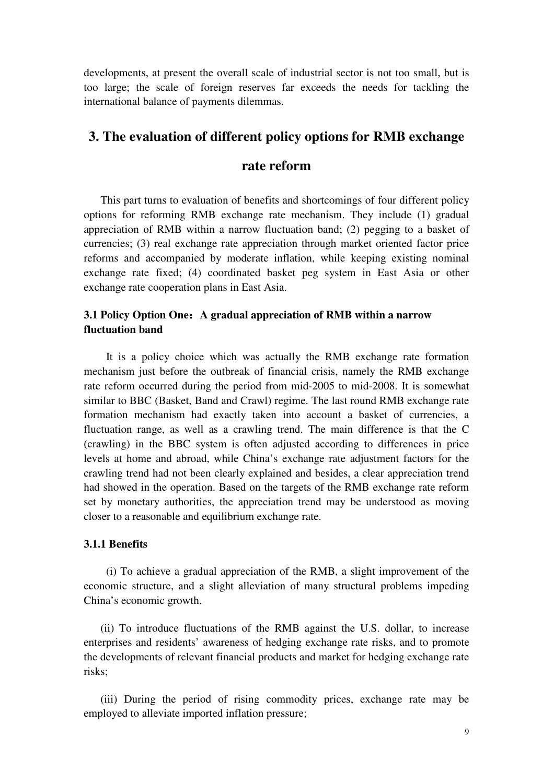developments, at present the overall scale of industrial sector is not too small, but is too large; the scale of foreign reserves far exceeds the needs for tackling the international balance of payments dilemmas.

## **3. The evaluation of different policy options for RMB exchange**

## **rate reform**

 This part turns to evaluation of benefits and shortcomings of four different policy options for reforming RMB exchange rate mechanism. They include (1) gradual appreciation of RMB within a narrow fluctuation band; (2) pegging to a basket of currencies; (3) real exchange rate appreciation through market oriented factor price reforms and accompanied by moderate inflation, while keeping existing nominal exchange rate fixed; (4) coordinated basket peg system in East Asia or other exchange rate cooperation plans in East Asia.

### **3.1 Policy Option One**:**A gradual appreciation of RMB within a narrow fluctuation band**

It is a policy choice which was actually the RMB exchange rate formation mechanism just before the outbreak of financial crisis, namely the RMB exchange rate reform occurred during the period from mid-2005 to mid-2008. It is somewhat similar to BBC (Basket, Band and Crawl) regime. The last round RMB exchange rate formation mechanism had exactly taken into account a basket of currencies, a fluctuation range, as well as a crawling trend. The main difference is that the C (crawling) in the BBC system is often adjusted according to differences in price levels at home and abroad, while China's exchange rate adjustment factors for the crawling trend had not been clearly explained and besides, a clear appreciation trend had showed in the operation. Based on the targets of the RMB exchange rate reform set by monetary authorities, the appreciation trend may be understood as moving closer to a reasonable and equilibrium exchange rate.

### **3.1.1 Benefits**

(i) To achieve a gradual appreciation of the RMB, a slight improvement of the economic structure, and a slight alleviation of many structural problems impeding China's economic growth.

(ii) To introduce fluctuations of the RMB against the U.S. dollar, to increase enterprises and residents' awareness of hedging exchange rate risks, and to promote the developments of relevant financial products and market for hedging exchange rate risks;

(iii) During the period of rising commodity prices, exchange rate may be employed to alleviate imported inflation pressure;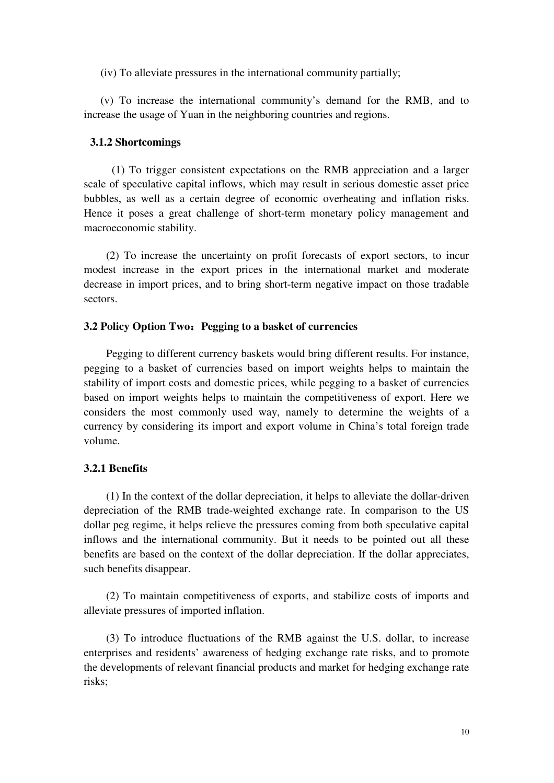(iv) To alleviate pressures in the international community partially;

(v) To increase the international community's demand for the RMB, and to increase the usage of Yuan in the neighboring countries and regions.

### **3.1.2 Shortcomings**

 (1) To trigger consistent expectations on the RMB appreciation and a larger scale of speculative capital inflows, which may result in serious domestic asset price bubbles, as well as a certain degree of economic overheating and inflation risks. Hence it poses a great challenge of short-term monetary policy management and macroeconomic stability.

(2) To increase the uncertainty on profit forecasts of export sectors, to incur modest increase in the export prices in the international market and moderate decrease in import prices, and to bring short-term negative impact on those tradable sectors.

### **3.2 Policy Option Two**:**Pegging to a basket of currencies**

Pegging to different currency baskets would bring different results. For instance, pegging to a basket of currencies based on import weights helps to maintain the stability of import costs and domestic prices, while pegging to a basket of currencies based on import weights helps to maintain the competitiveness of export. Here we considers the most commonly used way, namely to determine the weights of a currency by considering its import and export volume in China's total foreign trade volume.

### **3.2.1 Benefits**

(1) In the context of the dollar depreciation, it helps to alleviate the dollar-driven depreciation of the RMB trade-weighted exchange rate. In comparison to the US dollar peg regime, it helps relieve the pressures coming from both speculative capital inflows and the international community. But it needs to be pointed out all these benefits are based on the context of the dollar depreciation. If the dollar appreciates, such benefits disappear.

(2) To maintain competitiveness of exports, and stabilize costs of imports and alleviate pressures of imported inflation.

(3) To introduce fluctuations of the RMB against the U.S. dollar, to increase enterprises and residents' awareness of hedging exchange rate risks, and to promote the developments of relevant financial products and market for hedging exchange rate risks;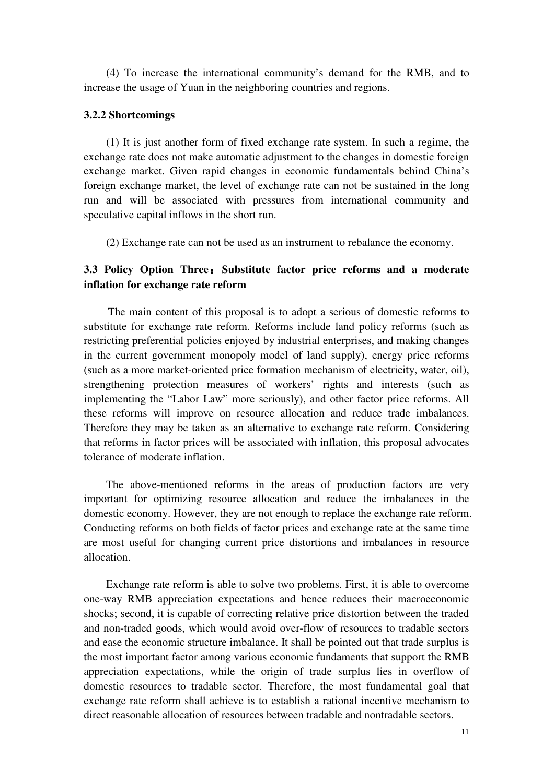(4) To increase the international community's demand for the RMB, and to increase the usage of Yuan in the neighboring countries and regions.

#### **3.2.2 Shortcomings**

(1) It is just another form of fixed exchange rate system. In such a regime, the exchange rate does not make automatic adjustment to the changes in domestic foreign exchange market. Given rapid changes in economic fundamentals behind China's foreign exchange market, the level of exchange rate can not be sustained in the long run and will be associated with pressures from international community and speculative capital inflows in the short run.

(2) Exchange rate can not be used as an instrument to rebalance the economy.

## **3.3 Policy Option Three**:**Substitute factor price reforms and a moderate inflation for exchange rate reform**

The main content of this proposal is to adopt a serious of domestic reforms to substitute for exchange rate reform. Reforms include land policy reforms (such as restricting preferential policies enjoyed by industrial enterprises, and making changes in the current government monopoly model of land supply), energy price reforms (such as a more market-oriented price formation mechanism of electricity, water, oil), strengthening protection measures of workers' rights and interests (such as implementing the "Labor Law" more seriously), and other factor price reforms. All these reforms will improve on resource allocation and reduce trade imbalances. Therefore they may be taken as an alternative to exchange rate reform. Considering that reforms in factor prices will be associated with inflation, this proposal advocates tolerance of moderate inflation.

The above-mentioned reforms in the areas of production factors are very important for optimizing resource allocation and reduce the imbalances in the domestic economy. However, they are not enough to replace the exchange rate reform. Conducting reforms on both fields of factor prices and exchange rate at the same time are most useful for changing current price distortions and imbalances in resource allocation.

Exchange rate reform is able to solve two problems. First, it is able to overcome one-way RMB appreciation expectations and hence reduces their macroeconomic shocks; second, it is capable of correcting relative price distortion between the traded and non-traded goods, which would avoid over-flow of resources to tradable sectors and ease the economic structure imbalance. It shall be pointed out that trade surplus is the most important factor among various economic fundaments that support the RMB appreciation expectations, while the origin of trade surplus lies in overflow of domestic resources to tradable sector. Therefore, the most fundamental goal that exchange rate reform shall achieve is to establish a rational incentive mechanism to direct reasonable allocation of resources between tradable and nontradable sectors.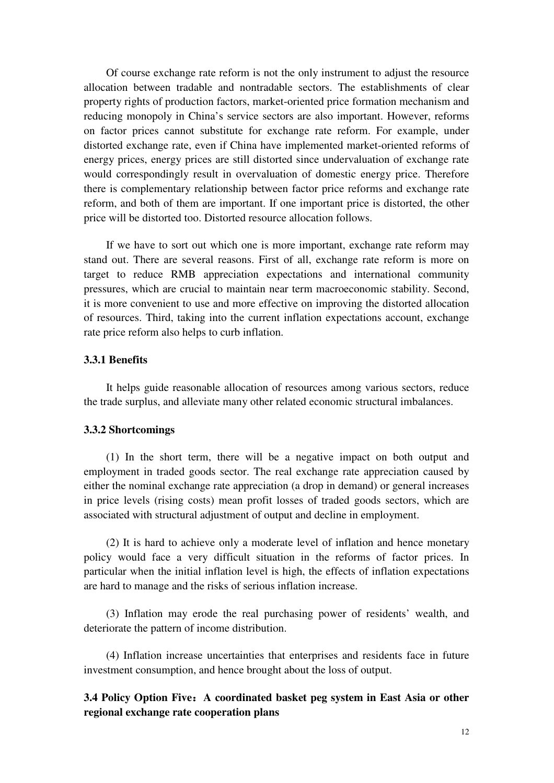Of course exchange rate reform is not the only instrument to adjust the resource allocation between tradable and nontradable sectors. The establishments of clear property rights of production factors, market-oriented price formation mechanism and reducing monopoly in China's service sectors are also important. However, reforms on factor prices cannot substitute for exchange rate reform. For example, under distorted exchange rate, even if China have implemented market-oriented reforms of energy prices, energy prices are still distorted since undervaluation of exchange rate would correspondingly result in overvaluation of domestic energy price. Therefore there is complementary relationship between factor price reforms and exchange rate reform, and both of them are important. If one important price is distorted, the other price will be distorted too. Distorted resource allocation follows.

If we have to sort out which one is more important, exchange rate reform may stand out. There are several reasons. First of all, exchange rate reform is more on target to reduce RMB appreciation expectations and international community pressures, which are crucial to maintain near term macroeconomic stability. Second, it is more convenient to use and more effective on improving the distorted allocation of resources. Third, taking into the current inflation expectations account, exchange rate price reform also helps to curb inflation.

### **3.3.1 Benefits**

It helps guide reasonable allocation of resources among various sectors, reduce the trade surplus, and alleviate many other related economic structural imbalances.

#### **3.3.2 Shortcomings**

(1) In the short term, there will be a negative impact on both output and employment in traded goods sector. The real exchange rate appreciation caused by either the nominal exchange rate appreciation (a drop in demand) or general increases in price levels (rising costs) mean profit losses of traded goods sectors, which are associated with structural adjustment of output and decline in employment.

(2) It is hard to achieve only a moderate level of inflation and hence monetary policy would face a very difficult situation in the reforms of factor prices. In particular when the initial inflation level is high, the effects of inflation expectations are hard to manage and the risks of serious inflation increase.

(3) Inflation may erode the real purchasing power of residents' wealth, and deteriorate the pattern of income distribution.

(4) Inflation increase uncertainties that enterprises and residents face in future investment consumption, and hence brought about the loss of output.

## **3.4 Policy Option Five**:**A coordinated basket peg system in East Asia or other regional exchange rate cooperation plans**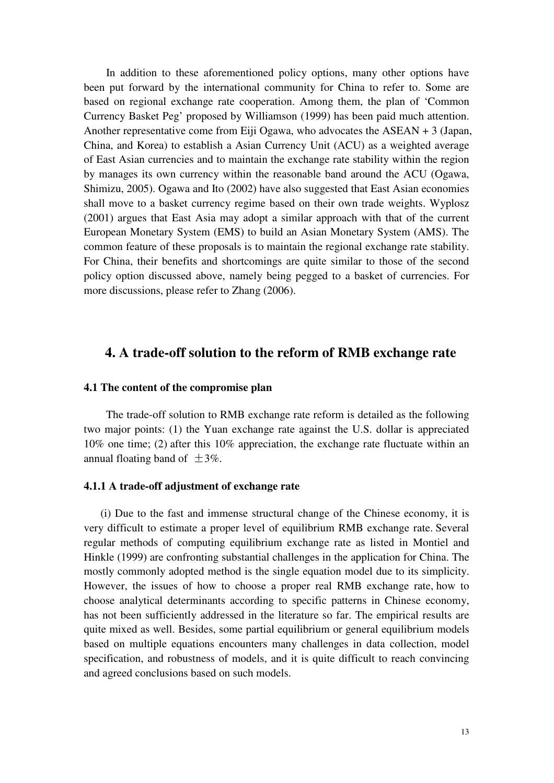In addition to these aforementioned policy options, many other options have been put forward by the international community for China to refer to. Some are based on regional exchange rate cooperation. Among them, the plan of 'Common Currency Basket Peg' proposed by Williamson (1999) has been paid much attention. Another representative come from Eiji Ogawa, who advocates the ASEAN + 3 (Japan, China, and Korea) to establish a Asian Currency Unit (ACU) as a weighted average of East Asian currencies and to maintain the exchange rate stability within the region by manages its own currency within the reasonable band around the ACU (Ogawa, Shimizu, 2005). Ogawa and Ito (2002) have also suggested that East Asian economies shall move to a basket currency regime based on their own trade weights. Wyplosz (2001) argues that East Asia may adopt a similar approach with that of the current European Monetary System (EMS) to build an Asian Monetary System (AMS). The common feature of these proposals is to maintain the regional exchange rate stability. For China, their benefits and shortcomings are quite similar to those of the second policy option discussed above, namely being pegged to a basket of currencies. For more discussions, please refer to Zhang (2006).

## **4. A trade-off solution to the reform of RMB exchange rate**

#### **4.1 The content of the compromise plan**

The trade-off solution to RMB exchange rate reform is detailed as the following two major points: (1) the Yuan exchange rate against the U.S. dollar is appreciated 10% one time; (2) after this 10% appreciation, the exchange rate fluctuate within an annual floating band of  $\pm 3\%$ .

#### **4.1.1 A trade-off adjustment of exchange rate**

(i) Due to the fast and immense structural change of the Chinese economy, it is very difficult to estimate a proper level of equilibrium RMB exchange rate. Several regular methods of computing equilibrium exchange rate as listed in Montiel and Hinkle (1999) are confronting substantial challenges in the application for China. The mostly commonly adopted method is the single equation model due to its simplicity. However, the issues of how to choose a proper real RMB exchange rate, how to choose analytical determinants according to specific patterns in Chinese economy, has not been sufficiently addressed in the literature so far. The empirical results are quite mixed as well. Besides, some partial equilibrium or general equilibrium models based on multiple equations encounters many challenges in data collection, model specification, and robustness of models, and it is quite difficult to reach convincing and agreed conclusions based on such models.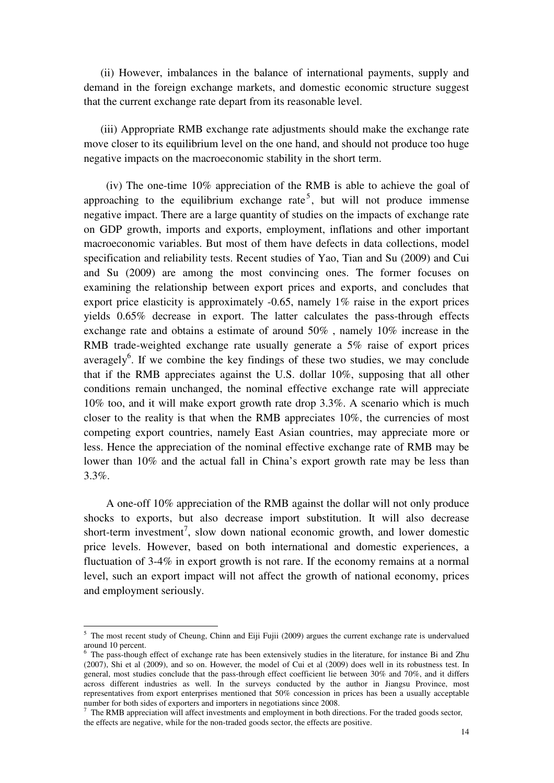(ii) However, imbalances in the balance of international payments, supply and demand in the foreign exchange markets, and domestic economic structure suggest that the current exchange rate depart from its reasonable level.

(iii) Appropriate RMB exchange rate adjustments should make the exchange rate move closer to its equilibrium level on the one hand, and should not produce too huge negative impacts on the macroeconomic stability in the short term.

(iv) The one-time 10% appreciation of the RMB is able to achieve the goal of approaching to the equilibrium exchange rate<sup>5</sup>, but will not produce immense negative impact. There are a large quantity of studies on the impacts of exchange rate on GDP growth, imports and exports, employment, inflations and other important macroeconomic variables. But most of them have defects in data collections, model specification and reliability tests. Recent studies of Yao, Tian and Su (2009) and Cui and Su (2009) are among the most convincing ones. The former focuses on examining the relationship between export prices and exports, and concludes that export price elasticity is approximately -0.65, namely 1% raise in the export prices yields 0.65% decrease in export. The latter calculates the pass-through effects exchange rate and obtains a estimate of around 50% , namely 10% increase in the RMB trade-weighted exchange rate usually generate a 5% raise of export prices averagely<sup>6</sup>. If we combine the key findings of these two studies, we may conclude that if the RMB appreciates against the U.S. dollar 10%, supposing that all other conditions remain unchanged, the nominal effective exchange rate will appreciate 10% too, and it will make export growth rate drop 3.3%. A scenario which is much closer to the reality is that when the RMB appreciates 10%, the currencies of most competing export countries, namely East Asian countries, may appreciate more or less. Hence the appreciation of the nominal effective exchange rate of RMB may be lower than 10% and the actual fall in China's export growth rate may be less than 3.3%.

A one-off 10% appreciation of the RMB against the dollar will not only produce shocks to exports, but also decrease import substitution. It will also decrease short-term investment<sup>7</sup>, slow down national economic growth, and lower domestic price levels. However, based on both international and domestic experiences, a fluctuation of 3-4% in export growth is not rare. If the economy remains at a normal level, such an export impact will not affect the growth of national economy, prices and employment seriously.

<sup>&</sup>lt;sup>5</sup> The most recent study of Cheung, Chinn and Eiji Fujii (2009) argues the current exchange rate is undervalued around 10 percent.

<sup>&</sup>lt;sup>6</sup> The pass-though effect of exchange rate has been extensively studies in the literature, for instance Bi and Zhu (2007), Shi et al (2009), and so on. However, the model of Cui et al (2009) does well in its robustness test. In general, most studies conclude that the pass-through effect coefficient lie between 30% and 70%, and it differs across different industries as well. In the surveys conducted by the author in Jiangsu Province, most representatives from export enterprises mentioned that 50% concession in prices has been a usually acceptable number for both sides of exporters and importers in negotiations since 2008.

<sup>&</sup>lt;sup>7</sup> The RMB appreciation will affect investments and employment in both directions. For the traded goods sector, the effects are negative, while for the non-traded goods sector, the effects are positive.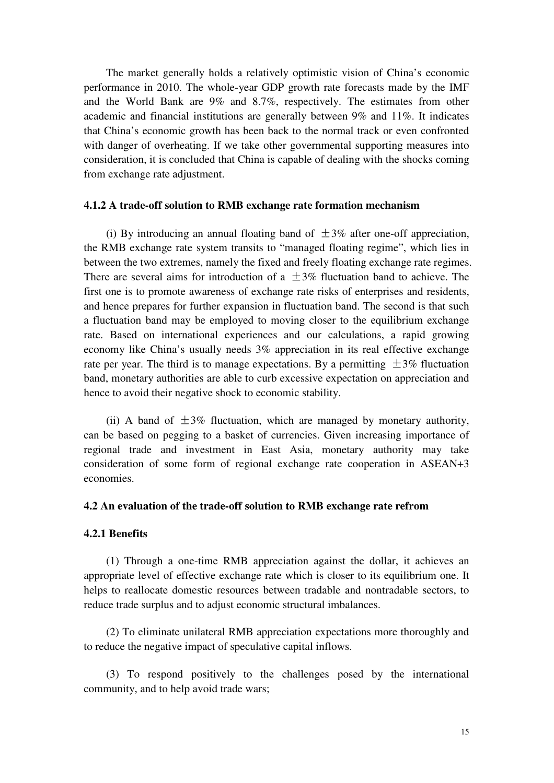The market generally holds a relatively optimistic vision of China's economic performance in 2010. The whole-year GDP growth rate forecasts made by the IMF and the World Bank are 9% and 8.7%, respectively. The estimates from other academic and financial institutions are generally between 9% and 11%. It indicates that China's economic growth has been back to the normal track or even confronted with danger of overheating. If we take other governmental supporting measures into consideration, it is concluded that China is capable of dealing with the shocks coming from exchange rate adjustment.

#### **4.1.2 A trade-off solution to RMB exchange rate formation mechanism**

(i) By introducing an annual floating band of  $\pm 3\%$  after one-off appreciation, the RMB exchange rate system transits to "managed floating regime", which lies in between the two extremes, namely the fixed and freely floating exchange rate regimes. There are several aims for introduction of a  $\pm 3\%$  fluctuation band to achieve. The first one is to promote awareness of exchange rate risks of enterprises and residents, and hence prepares for further expansion in fluctuation band. The second is that such a fluctuation band may be employed to moving closer to the equilibrium exchange rate. Based on international experiences and our calculations, a rapid growing economy like China's usually needs 3% appreciation in its real effective exchange rate per year. The third is to manage expectations. By a permitting  $\pm 3\%$  fluctuation band, monetary authorities are able to curb excessive expectation on appreciation and hence to avoid their negative shock to economic stability.

(ii) A band of  $\pm 3\%$  fluctuation, which are managed by monetary authority, can be based on pegging to a basket of currencies. Given increasing importance of regional trade and investment in East Asia, monetary authority may take consideration of some form of regional exchange rate cooperation in ASEAN+3 economies.

#### **4.2 An evaluation of the trade-off solution to RMB exchange rate refrom**

#### **4.2.1 Benefits**

(1) Through a one-time RMB appreciation against the dollar, it achieves an appropriate level of effective exchange rate which is closer to its equilibrium one. It helps to reallocate domestic resources between tradable and nontradable sectors, to reduce trade surplus and to adjust economic structural imbalances.

(2) To eliminate unilateral RMB appreciation expectations more thoroughly and to reduce the negative impact of speculative capital inflows.

(3) To respond positively to the challenges posed by the international community, and to help avoid trade wars;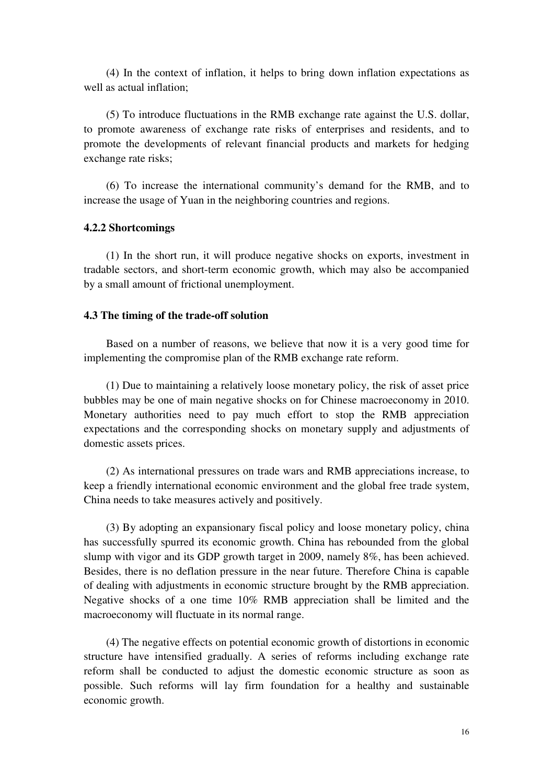(4) In the context of inflation, it helps to bring down inflation expectations as well as actual inflation;

(5) To introduce fluctuations in the RMB exchange rate against the U.S. dollar, to promote awareness of exchange rate risks of enterprises and residents, and to promote the developments of relevant financial products and markets for hedging exchange rate risks;

(6) To increase the international community's demand for the RMB, and to increase the usage of Yuan in the neighboring countries and regions.

#### **4.2.2 Shortcomings**

(1) In the short run, it will produce negative shocks on exports, investment in tradable sectors, and short-term economic growth, which may also be accompanied by a small amount of frictional unemployment.

#### **4.3 The timing of the trade-off solution**

Based on a number of reasons, we believe that now it is a very good time for implementing the compromise plan of the RMB exchange rate reform.

(1) Due to maintaining a relatively loose monetary policy, the risk of asset price bubbles may be one of main negative shocks on for Chinese macroeconomy in 2010. Monetary authorities need to pay much effort to stop the RMB appreciation expectations and the corresponding shocks on monetary supply and adjustments of domestic assets prices.

(2) As international pressures on trade wars and RMB appreciations increase, to keep a friendly international economic environment and the global free trade system, China needs to take measures actively and positively.

(3) By adopting an expansionary fiscal policy and loose monetary policy, china has successfully spurred its economic growth. China has rebounded from the global slump with vigor and its GDP growth target in 2009, namely 8%, has been achieved. Besides, there is no deflation pressure in the near future. Therefore China is capable of dealing with adjustments in economic structure brought by the RMB appreciation. Negative shocks of a one time 10% RMB appreciation shall be limited and the macroeconomy will fluctuate in its normal range.

(4) The negative effects on potential economic growth of distortions in economic structure have intensified gradually. A series of reforms including exchange rate reform shall be conducted to adjust the domestic economic structure as soon as possible. Such reforms will lay firm foundation for a healthy and sustainable economic growth.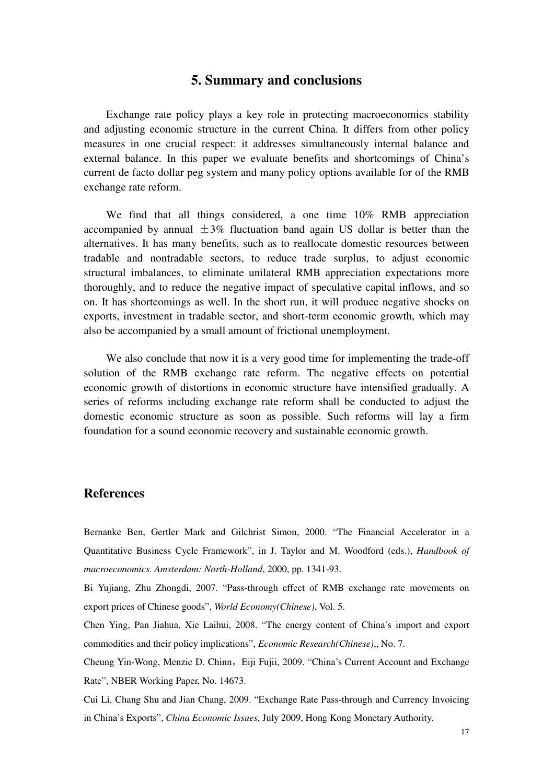# **5. Summary and conclusions**

Exchange rate policy plays a key role in protecting macroeconomics stability and adjusting economic structure in the current China. It differs from other policy measures in one crucial respect: it addresses simultaneously internal balance and external balance. In this paper we evaluate benefits and shortcomings of China's current de facto dollar peg system and many policy options available for of the RMB exchange rate reform.

We find that all things considered, a one time 10% RMB appreciation accompanied by annual  $\pm 3\%$  fluctuation band again US dollar is better than the alternatives. It has many benefits, such as to reallocate domestic resources between tradable and nontradable sectors, to reduce trade surplus, to adjust economic structural imbalances, to eliminate unilateral RMB appreciation expectations more thoroughly, and to reduce the negative impact of speculative capital inflows, and so on. It has shortcomings as well. In the short run, it will produce negative shocks on exports, investment in tradable sector, and short-term economic growth, which may also be accompanied by a small amount of frictional unemployment.

We also conclude that now it is a very good time for implementing the trade-off solution of the RMB exchange rate reform. The negative effects on potential economic growth of distortions in economic structure have intensified gradually. A series of reforms including exchange rate reform shall be conducted to adjust the domestic economic structure as soon as possible. Such reforms will lay a firm foundation for a sound economic recovery and sustainable economic growth.

### **References**

Bernanke Ben, Gertler Mark and Gilchrist Simon, 2000. "The Financial Accelerator in a Quantitative Business Cycle Framework", in J. Taylor and M. Woodford (eds.), *Handbook of macroeconomics. Amsterdam: North-Holland*, 2000, pp. 1341-93.

Bi Yujiang, Zhu Zhongdi, 2007. "Pass-through effect of RMB exchange rate movements on export prices of Chinese goods", *World Economy(Chinese)*, Vol. 5.

Chen Ying, Pan Jiahua, Xie Laihui, 2008. "The energy content of China's import and export commodities and their policy implications", *Economic Research(Chinese)*,, No. 7.

Cheung Yin-Wong, Menzie D. Chinn, Eiji Fujii, 2009. "China's Current Account and Exchange Rate", NBER Working Paper, No. 14673.

Cui Li, Chang Shu and Jian Chang, 2009. "Exchange Rate Pass-through and Currency Invoicing in China's Exports", *China Economic Issues*, July 2009, Hong Kong Monetary Authority.